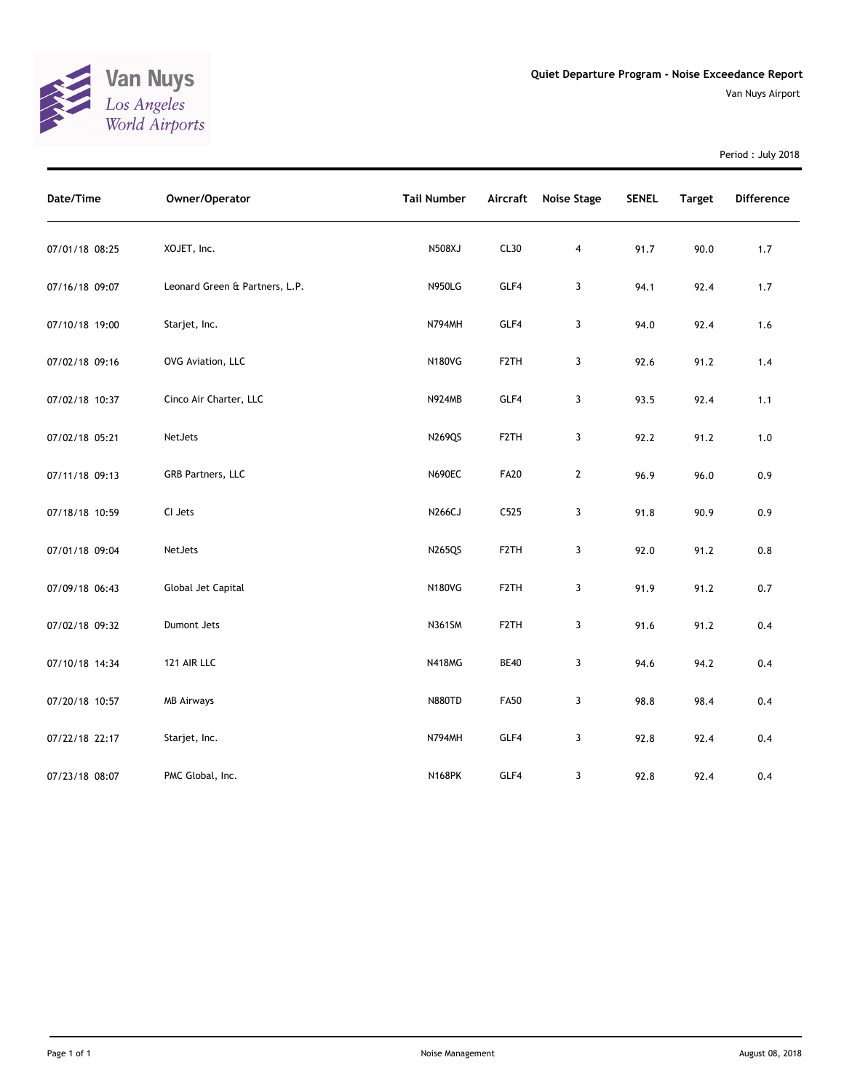

Period : July 2018

| Date/Time      | Owner/Operator                 | <b>Tail Number</b> | <b>Aircraft</b>   | <b>Noise Stage</b> | <b>SENEL</b> | <b>Target</b> | Difference |
|----------------|--------------------------------|--------------------|-------------------|--------------------|--------------|---------------|------------|
| 07/01/18 08:25 | XOJET, Inc.                    | N508XJ             | CL30              | 4                  | 91.7         | 90.0          | 1.7        |
| 07/16/18 09:07 | Leonard Green & Partners, L.P. | <b>N950LG</b>      | GLF4              | 3                  | 94.1         | 92.4          | $1.7$      |
| 07/10/18 19:00 | Starjet, Inc.                  | <b>N794MH</b>      | GLF4              | 3                  | 94.0         | 92.4          | 1.6        |
| 07/02/18 09:16 | OVG Aviation, LLC              | <b>N180VG</b>      | F <sub>2</sub> TH | 3                  | 92.6         | 91.2          | 1.4        |
| 07/02/18 10:37 | Cinco Air Charter, LLC         | <b>N924MB</b>      | GLF4              | 3                  | 93.5         | 92.4          | 1.1        |
| 07/02/18 05:21 | NetJets                        | <b>N269QS</b>      | F <sub>2</sub> TH | 3                  | 92.2         | 91.2          | 1.0        |
| 07/11/18 09:13 | GRB Partners, LLC              | <b>N690EC</b>      | <b>FA20</b>       | $\mathbf{2}$       | 96.9         | 96.0          | 0.9        |
| 07/18/18 10:59 | CI Jets                        | N266CJ             | C525              | 3                  | 91.8         | 90.9          | 0.9        |
| 07/01/18 09:04 | NetJets                        | <b>N265QS</b>      | F <sub>2</sub> TH | 3                  | 92.0         | 91.2          | 0.8        |
| 07/09/18 06:43 | Global Jet Capital             | <b>N180VG</b>      | F <sub>2</sub> TH | 3                  | 91.9         | 91.2          | $0.7$      |
| 07/02/18 09:32 | Dumont Jets                    | <b>N361SM</b>      | F <sub>2</sub> TH | 3                  | 91.6         | 91.2          | 0.4        |
| 07/10/18 14:34 | 121 AIR LLC                    | <b>N418MG</b>      | <b>BE40</b>       | 3                  | 94.6         | 94.2          | 0.4        |
| 07/20/18 10:57 | <b>MB Airways</b>              | <b>N880TD</b>      | <b>FA50</b>       | 3                  | 98.8         | 98.4          | 0.4        |
| 07/22/18 22:17 | Starjet, Inc.                  | <b>N794MH</b>      | GLF4              | 3                  | 92.8         | 92.4          | 0.4        |
| 07/23/18 08:07 | PMC Global, Inc.               | <b>N168PK</b>      | GLF4              | 3                  | 92.8         | 92.4          | 0.4        |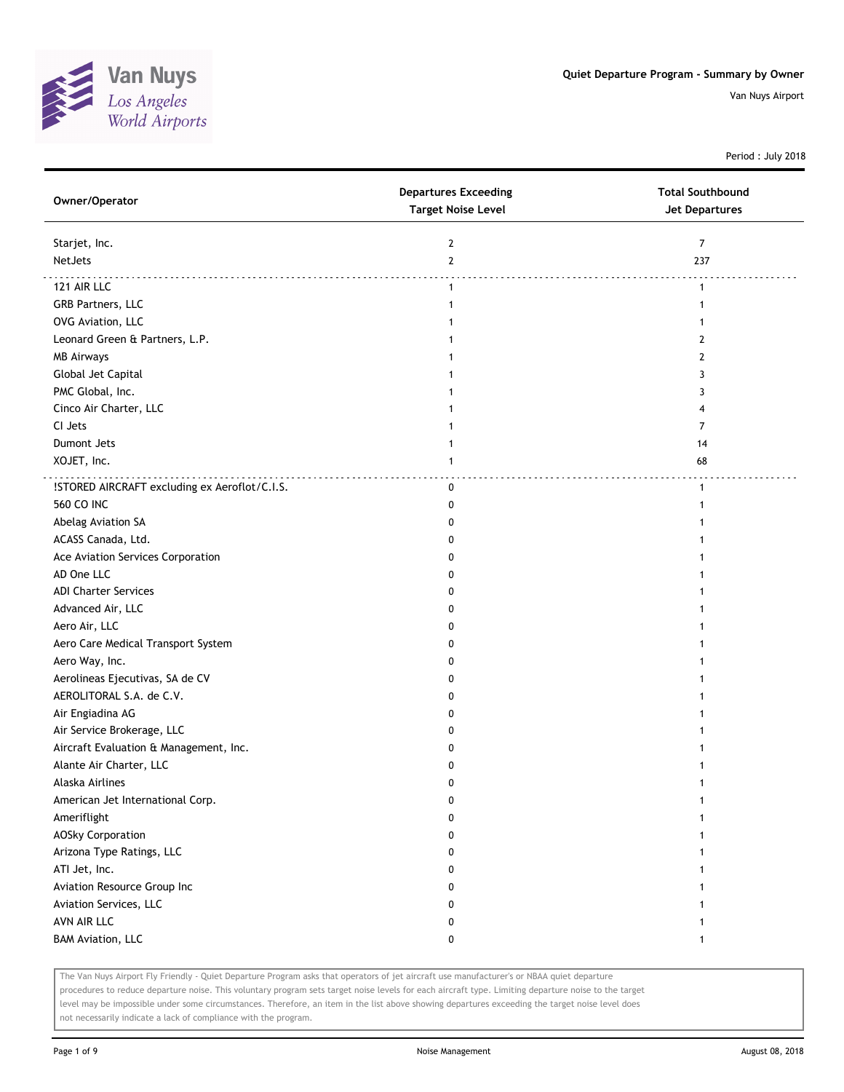

Period : July 2018

| Owner/Operator                                | <b>Departures Exceeding</b><br><b>Target Noise Level</b> | <b>Total Southbound</b><br><b>Jet Departures</b> |
|-----------------------------------------------|----------------------------------------------------------|--------------------------------------------------|
| Starjet, Inc.                                 | $\mathbf{2}$                                             | $\overline{7}$                                   |
| NetJets                                       | $\overline{2}$                                           | 237                                              |
| 121 AIR LLC                                   | $\mathbf{1}$                                             | $\mathbf{1}$                                     |
| GRB Partners, LLC                             | 1                                                        | 1                                                |
| OVG Aviation, LLC                             |                                                          |                                                  |
| Leonard Green & Partners, L.P.                |                                                          | 2                                                |
| <b>MB Airways</b>                             |                                                          | $\overline{2}$                                   |
| Global Jet Capital                            |                                                          | 3                                                |
| PMC Global, Inc.                              |                                                          | 3                                                |
| Cinco Air Charter, LLC                        |                                                          | 4                                                |
| CI Jets                                       |                                                          | 7                                                |
| Dumont Jets                                   |                                                          | 14                                               |
| XOJET, Inc.                                   | 1                                                        | 68                                               |
| !STORED AIRCRAFT excluding ex Aeroflot/C.I.S. | 0                                                        | $\mathbf{1}$                                     |
| <b>560 CO INC</b>                             | 0                                                        | -1                                               |
| Abelag Aviation SA                            | 0                                                        |                                                  |
| ACASS Canada, Ltd.                            | 0                                                        |                                                  |
| Ace Aviation Services Corporation             | 0                                                        |                                                  |
| AD One LLC                                    | 0                                                        |                                                  |
| <b>ADI Charter Services</b>                   | 0                                                        |                                                  |
| Advanced Air, LLC                             | 0                                                        |                                                  |
| Aero Air, LLC                                 | 0                                                        |                                                  |
| Aero Care Medical Transport System            | 0                                                        |                                                  |
| Aero Way, Inc.                                | 0                                                        |                                                  |
| Aerolineas Ejecutivas, SA de CV               | 0                                                        |                                                  |
| AEROLITORAL S.A. de C.V.                      | 0                                                        |                                                  |
| Air Engiadina AG                              | 0                                                        |                                                  |
| Air Service Brokerage, LLC                    | 0                                                        |                                                  |
| Aircraft Evaluation & Management, Inc.        | 0                                                        |                                                  |
| Alante Air Charter, LLC                       | 0                                                        |                                                  |
| Alaska Airlines                               | 0                                                        |                                                  |
| American Jet International Corp.              | 0                                                        |                                                  |
| Ameriflight                                   | 0                                                        |                                                  |
| <b>AOSky Corporation</b>                      | 0                                                        |                                                  |
| Arizona Type Ratings, LLC                     | 0                                                        |                                                  |
| ATI Jet, Inc.                                 | 0                                                        |                                                  |
| Aviation Resource Group Inc                   | 0                                                        |                                                  |
| Aviation Services, LLC                        | 0                                                        |                                                  |
| AVN AIR LLC                                   | 0                                                        |                                                  |
| <b>BAM Aviation, LLC</b>                      | 0                                                        | -1                                               |

The Van Nuys Airport Fly Friendly - Quiet Departure Program asks that operators of jet aircraft use manufacturer's or NBAA quiet departure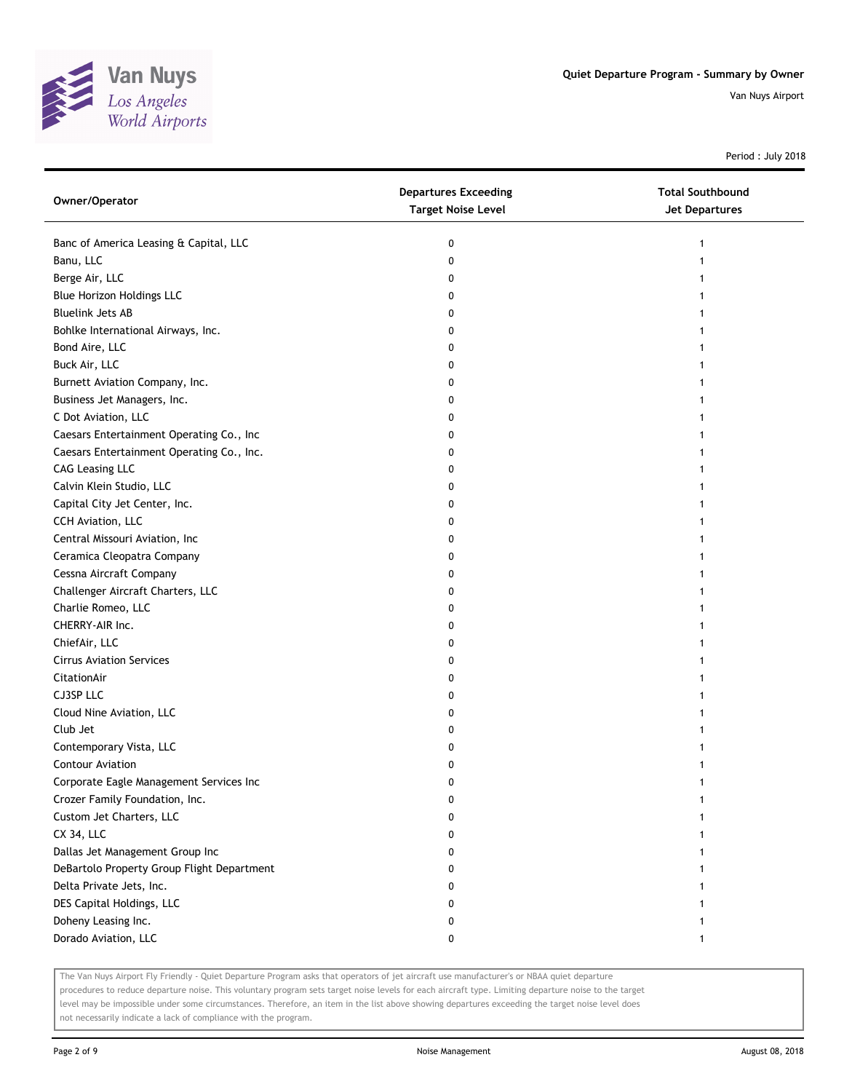

Period : July 2018

| Owner/Operator                             | <b>Departures Exceeding</b><br><b>Target Noise Level</b> | <b>Total Southbound</b><br><b>Jet Departures</b> |
|--------------------------------------------|----------------------------------------------------------|--------------------------------------------------|
| Banc of America Leasing & Capital, LLC     | 0                                                        |                                                  |
| Banu, LLC                                  | 0                                                        |                                                  |
| Berge Air, LLC                             | 0                                                        |                                                  |
| Blue Horizon Holdings LLC                  | 0                                                        |                                                  |
| <b>Bluelink Jets AB</b>                    | 0                                                        |                                                  |
| Bohlke International Airways, Inc.         | 0                                                        |                                                  |
| Bond Aire, LLC                             | 0                                                        |                                                  |
| Buck Air, LLC                              | 0                                                        |                                                  |
| Burnett Aviation Company, Inc.             | 0                                                        |                                                  |
| Business Jet Managers, Inc.                | 0                                                        |                                                  |
| C Dot Aviation, LLC                        | 0                                                        |                                                  |
| Caesars Entertainment Operating Co., Inc   | 0                                                        |                                                  |
| Caesars Entertainment Operating Co., Inc.  | 0                                                        |                                                  |
| <b>CAG Leasing LLC</b>                     | 0                                                        |                                                  |
| Calvin Klein Studio, LLC                   | 0                                                        |                                                  |
| Capital City Jet Center, Inc.              | 0                                                        |                                                  |
| CCH Aviation, LLC                          | 0                                                        |                                                  |
| Central Missouri Aviation, Inc             | 0                                                        |                                                  |
| Ceramica Cleopatra Company                 | 0                                                        |                                                  |
| Cessna Aircraft Company                    | 0                                                        |                                                  |
| Challenger Aircraft Charters, LLC          | 0                                                        |                                                  |
| Charlie Romeo, LLC                         | 0                                                        |                                                  |
| CHERRY-AIR Inc.                            | 0                                                        |                                                  |
| ChiefAir, LLC                              | 0                                                        |                                                  |
| <b>Cirrus Aviation Services</b>            | 0                                                        |                                                  |
| CitationAir                                | 0                                                        |                                                  |
| CJ3SP LLC                                  | 0                                                        |                                                  |
| Cloud Nine Aviation, LLC                   | 0                                                        |                                                  |
| Club Jet                                   | 0                                                        |                                                  |
| Contemporary Vista, LLC                    | 0                                                        |                                                  |
| <b>Contour Aviation</b>                    | 0                                                        |                                                  |
| Corporate Eagle Management Services Inc    | 0                                                        |                                                  |
| Crozer Family Foundation, Inc.             | U                                                        |                                                  |
| Custom Jet Charters, LLC                   | 0                                                        |                                                  |
| CX 34, LLC                                 | 0                                                        |                                                  |
| Dallas Jet Management Group Inc            | 0                                                        |                                                  |
| DeBartolo Property Group Flight Department | 0                                                        |                                                  |
| Delta Private Jets, Inc.                   | 0                                                        |                                                  |
| DES Capital Holdings, LLC                  | 0                                                        |                                                  |
| Doheny Leasing Inc.                        | 0                                                        |                                                  |
| Dorado Aviation, LLC                       | 0                                                        |                                                  |

The Van Nuys Airport Fly Friendly - Quiet Departure Program asks that operators of jet aircraft use manufacturer's or NBAA quiet departure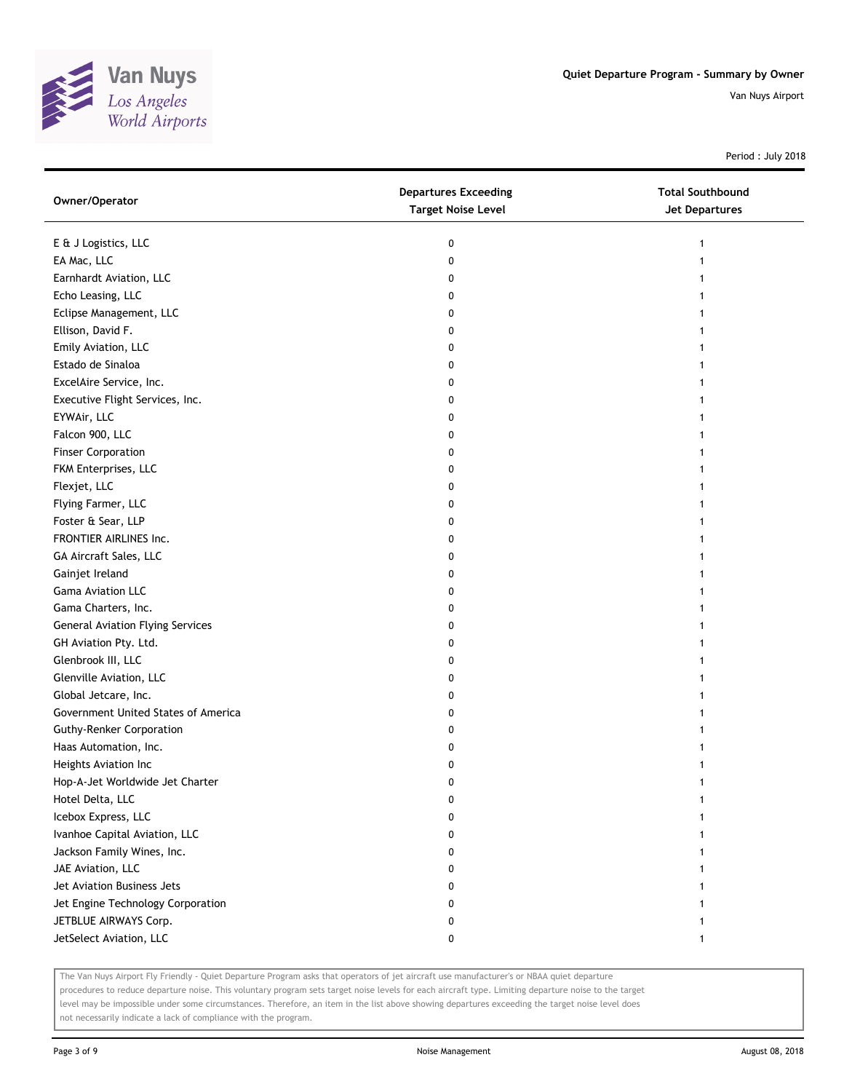

Period : July 2018

| Owner/Operator                          | <b>Departures Exceeding</b><br><b>Target Noise Level</b> | <b>Total Southbound</b><br>Jet Departures |
|-----------------------------------------|----------------------------------------------------------|-------------------------------------------|
| E & J Logistics, LLC                    | 0                                                        | 1                                         |
| EA Mac, LLC                             | 0                                                        |                                           |
| Earnhardt Aviation, LLC                 | 0                                                        |                                           |
| Echo Leasing, LLC                       | 0                                                        |                                           |
| Eclipse Management, LLC                 | 0                                                        |                                           |
| Ellison, David F.                       | 0                                                        |                                           |
| Emily Aviation, LLC                     | 0                                                        |                                           |
| Estado de Sinaloa                       |                                                          |                                           |
| ExcelAire Service, Inc.                 | 0                                                        |                                           |
|                                         | 0                                                        |                                           |
| Executive Flight Services, Inc.         | 0                                                        |                                           |
| EYWAir, LLC                             | 0                                                        |                                           |
| Falcon 900, LLC                         | 0                                                        |                                           |
| <b>Finser Corporation</b>               | 0                                                        |                                           |
| FKM Enterprises, LLC                    | 0                                                        |                                           |
| Flexjet, LLC                            | 0                                                        |                                           |
| Flying Farmer, LLC                      | 0                                                        |                                           |
| Foster & Sear, LLP                      | 0                                                        |                                           |
| FRONTIER AIRLINES Inc.                  | 0                                                        |                                           |
| GA Aircraft Sales, LLC                  | 0                                                        |                                           |
| Gainjet Ireland                         | 0                                                        |                                           |
| <b>Gama Aviation LLC</b>                | 0                                                        |                                           |
| Gama Charters, Inc.                     | 0                                                        |                                           |
| <b>General Aviation Flying Services</b> | 0                                                        |                                           |
| GH Aviation Pty. Ltd.                   | 0                                                        |                                           |
| Glenbrook III, LLC                      | 0                                                        |                                           |
| Glenville Aviation, LLC                 | 0                                                        |                                           |
| Global Jetcare, Inc.                    | 0                                                        |                                           |
| Government United States of America     | 0                                                        |                                           |
| <b>Guthy-Renker Corporation</b>         | 0                                                        |                                           |
| Haas Automation, Inc.                   | 0                                                        |                                           |
| Heights Aviation Inc                    | 0                                                        |                                           |
| Hop-A-Jet Worldwide Jet Charter         | 0                                                        |                                           |
| Hotel Delta, LLC                        | U                                                        |                                           |
| Icebox Express, LLC                     | 0                                                        |                                           |
| Ivanhoe Capital Aviation, LLC           | 0                                                        |                                           |
| Jackson Family Wines, Inc.              | 0                                                        |                                           |
| JAE Aviation, LLC                       | 0                                                        |                                           |
| Jet Aviation Business Jets              | 0                                                        |                                           |
| Jet Engine Technology Corporation       | 0                                                        |                                           |
| JETBLUE AIRWAYS Corp.                   | 0                                                        |                                           |
| JetSelect Aviation, LLC                 | 0                                                        |                                           |

The Van Nuys Airport Fly Friendly - Quiet Departure Program asks that operators of jet aircraft use manufacturer's or NBAA quiet departure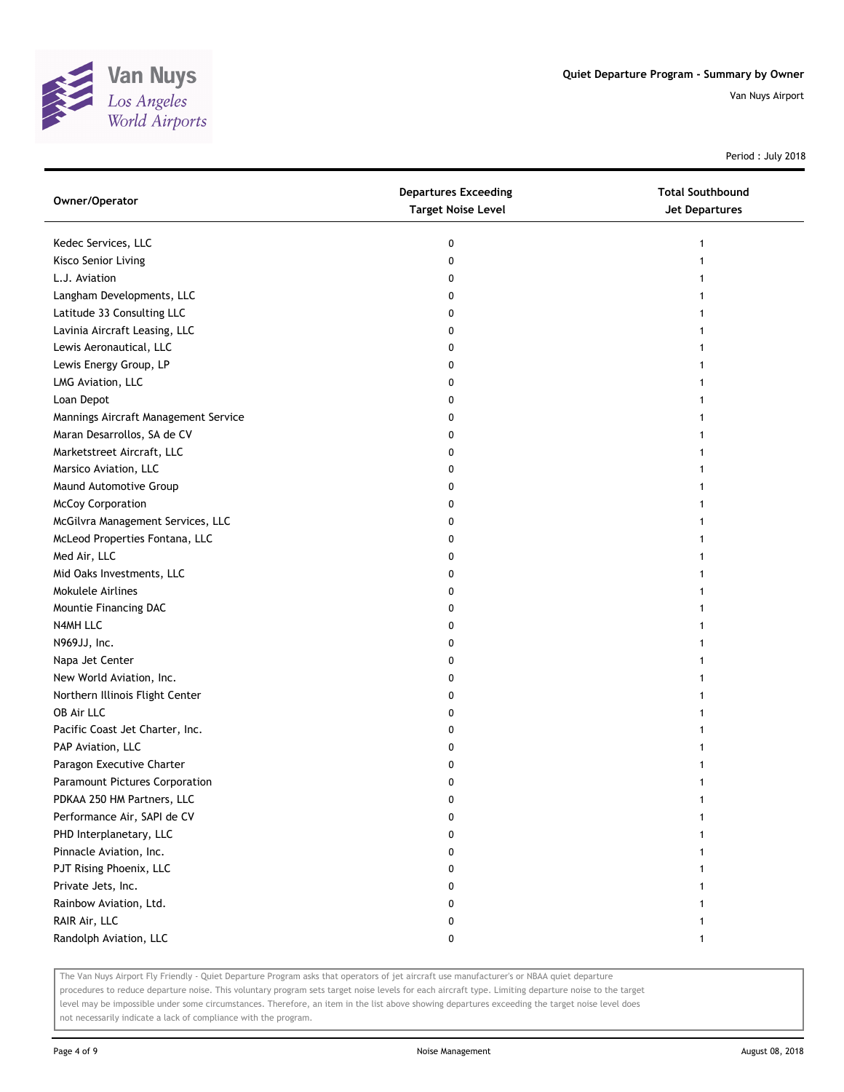

Period : July 2018

| Owner/Operator                       | <b>Departures Exceeding</b><br><b>Target Noise Level</b> | <b>Total Southbound</b><br><b>Jet Departures</b> |
|--------------------------------------|----------------------------------------------------------|--------------------------------------------------|
| Kedec Services, LLC                  | 0                                                        | 1                                                |
| Kisco Senior Living                  | 0                                                        |                                                  |
| L.J. Aviation                        | 0                                                        |                                                  |
| Langham Developments, LLC            | 0                                                        |                                                  |
| Latitude 33 Consulting LLC           | 0                                                        |                                                  |
| Lavinia Aircraft Leasing, LLC        | 0                                                        |                                                  |
| Lewis Aeronautical, LLC              | 0                                                        |                                                  |
| Lewis Energy Group, LP               | 0                                                        |                                                  |
| LMG Aviation, LLC                    | 0                                                        |                                                  |
| Loan Depot                           | 0                                                        |                                                  |
| Mannings Aircraft Management Service | 0                                                        |                                                  |
| Maran Desarrollos, SA de CV          | 0                                                        |                                                  |
| Marketstreet Aircraft, LLC           | 0                                                        |                                                  |
| Marsico Aviation, LLC                | 0                                                        |                                                  |
| Maund Automotive Group               | 0                                                        |                                                  |
| McCoy Corporation                    | 0                                                        |                                                  |
| McGilvra Management Services, LLC    | 0                                                        |                                                  |
| McLeod Properties Fontana, LLC       | 0                                                        |                                                  |
| Med Air, LLC                         | 0                                                        |                                                  |
| Mid Oaks Investments, LLC            | 0                                                        |                                                  |
| Mokulele Airlines                    | 0                                                        |                                                  |
| Mountie Financing DAC                | 0                                                        |                                                  |
| N4MH LLC                             | 0                                                        |                                                  |
| N969JJ, Inc.                         | 0                                                        |                                                  |
| Napa Jet Center                      | 0                                                        |                                                  |
| New World Aviation, Inc.             | 0                                                        |                                                  |
| Northern Illinois Flight Center      | 0                                                        |                                                  |
| OB Air LLC                           | 0                                                        |                                                  |
| Pacific Coast Jet Charter, Inc.      | 0                                                        |                                                  |
| PAP Aviation, LLC                    | 0                                                        |                                                  |
| Paragon Executive Charter            | 0                                                        |                                                  |
| Paramount Pictures Corporation       | 0                                                        |                                                  |
| PDKAA 250 HM Partners, LLC           | 0                                                        |                                                  |
| Performance Air, SAPI de CV          | 0                                                        |                                                  |
| PHD Interplanetary, LLC              | 0                                                        |                                                  |
| Pinnacle Aviation, Inc.              | 0                                                        |                                                  |
| PJT Rising Phoenix, LLC              | 0                                                        |                                                  |
| Private Jets, Inc.                   | 0                                                        |                                                  |
| Rainbow Aviation, Ltd.               | 0                                                        |                                                  |
| RAIR Air, LLC                        | 0                                                        |                                                  |
| Randolph Aviation, LLC               | 0                                                        | $\mathbf{1}$                                     |

The Van Nuys Airport Fly Friendly - Quiet Departure Program asks that operators of jet aircraft use manufacturer's or NBAA quiet departure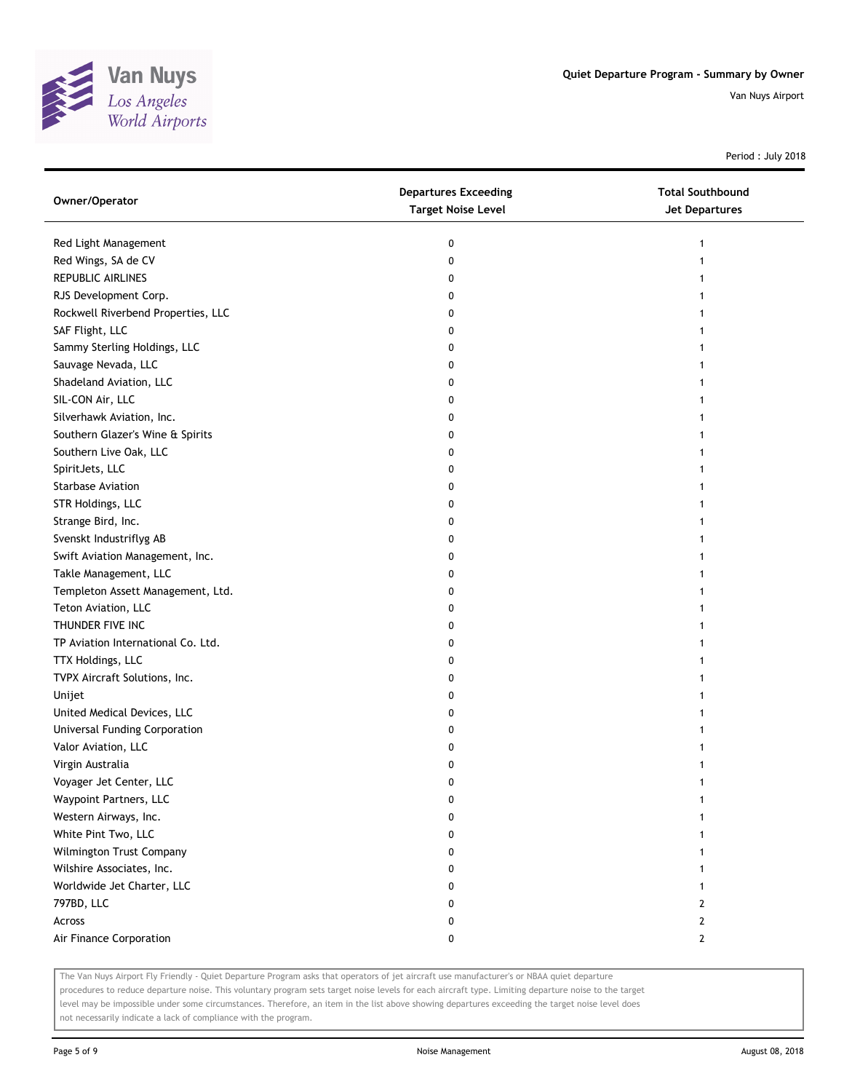

Period : July 2018

| Owner/Operator                     | <b>Departures Exceeding</b><br><b>Target Noise Level</b> | <b>Total Southbound</b><br><b>Jet Departures</b> |
|------------------------------------|----------------------------------------------------------|--------------------------------------------------|
| Red Light Management               | 0                                                        | 1                                                |
| Red Wings, SA de CV                | 0                                                        | 1                                                |
| REPUBLIC AIRLINES                  | 0                                                        |                                                  |
| RJS Development Corp.              | 0                                                        |                                                  |
| Rockwell Riverbend Properties, LLC | 0                                                        |                                                  |
| SAF Flight, LLC                    | 0                                                        |                                                  |
| Sammy Sterling Holdings, LLC       | 0                                                        | 1                                                |
| Sauvage Nevada, LLC                | 0                                                        |                                                  |
| Shadeland Aviation, LLC            | 0                                                        |                                                  |
| SIL-CON Air, LLC                   | 0                                                        |                                                  |
| Silverhawk Aviation, Inc.          | 0                                                        |                                                  |
| Southern Glazer's Wine & Spirits   | 0                                                        |                                                  |
| Southern Live Oak, LLC             | 0                                                        |                                                  |
| SpiritJets, LLC                    | 0                                                        |                                                  |
| Starbase Aviation                  | 0                                                        |                                                  |
| STR Holdings, LLC                  | 0                                                        | 1                                                |
| Strange Bird, Inc.                 | 0                                                        | 1                                                |
| Svenskt Industriflyg AB            | 0                                                        |                                                  |
| Swift Aviation Management, Inc.    | 0                                                        |                                                  |
| Takle Management, LLC              | 0                                                        |                                                  |
| Templeton Assett Management, Ltd.  | 0                                                        |                                                  |
| Teton Aviation, LLC                | 0                                                        |                                                  |
| THUNDER FIVE INC                   | 0                                                        |                                                  |
| TP Aviation International Co. Ltd. | 0                                                        |                                                  |
| TTX Holdings, LLC                  | 0                                                        |                                                  |
| TVPX Aircraft Solutions, Inc.      | 0                                                        | 1                                                |
| Unijet                             | 0                                                        | 1                                                |
| United Medical Devices, LLC        | 0                                                        | 1                                                |
| Universal Funding Corporation      | 0                                                        |                                                  |
| Valor Aviation, LLC                | 0                                                        |                                                  |
| Virgin Australia                   | 0                                                        |                                                  |
| Voyager Jet Center, LLC            | 0                                                        | 1                                                |
| Waypoint Partners, LLC             | 0                                                        |                                                  |
| Western Airways, Inc.              | 0                                                        |                                                  |
| White Pint Two, LLC                | 0                                                        |                                                  |
| Wilmington Trust Company           | 0                                                        |                                                  |
| Wilshire Associates, Inc.          | 0                                                        |                                                  |
| Worldwide Jet Charter, LLC         | 0                                                        | 1                                                |
| 797BD, LLC                         | 0                                                        | 2                                                |
| Across                             | 0                                                        | $\mathbf{2}$                                     |
| Air Finance Corporation            | 0                                                        | $\mathbf{2}$                                     |

The Van Nuys Airport Fly Friendly - Quiet Departure Program asks that operators of jet aircraft use manufacturer's or NBAA quiet departure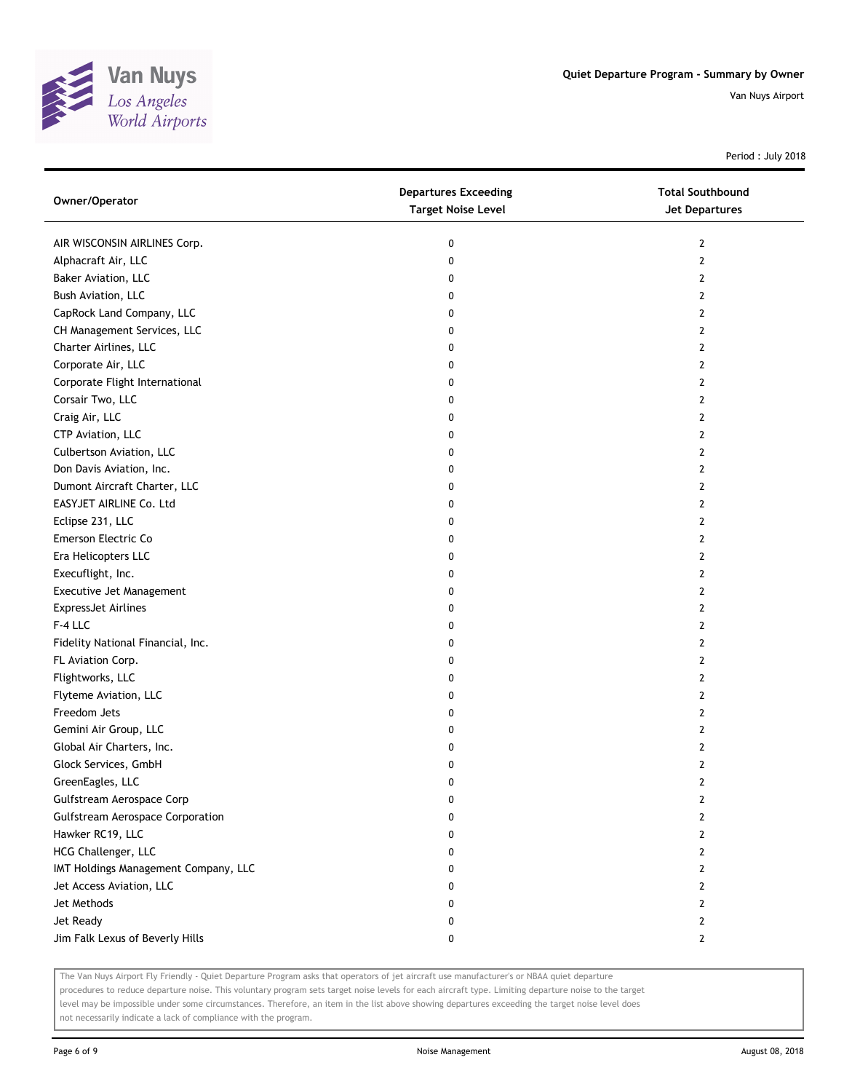

Period : July 2018

| Owner/Operator                          | <b>Departures Exceeding</b><br><b>Target Noise Level</b> | <b>Total Southbound</b><br>Jet Departures |
|-----------------------------------------|----------------------------------------------------------|-------------------------------------------|
| AIR WISCONSIN AIRLINES Corp.            | 0                                                        | 2                                         |
| Alphacraft Air, LLC                     | 0                                                        | 2                                         |
| Baker Aviation, LLC                     | 0                                                        | 2                                         |
| Bush Aviation, LLC                      | 0                                                        | 2                                         |
| CapRock Land Company, LLC               | 0                                                        | 2                                         |
| CH Management Services, LLC             | 0                                                        | 2                                         |
| Charter Airlines, LLC                   | 0                                                        | 2                                         |
| Corporate Air, LLC                      | 0                                                        | 2                                         |
| Corporate Flight International          | 0                                                        | 2                                         |
| Corsair Two, LLC                        | 0                                                        | 2                                         |
| Craig Air, LLC                          | 0                                                        | 2                                         |
| CTP Aviation, LLC                       | 0                                                        | 2                                         |
| Culbertson Aviation, LLC                | 0                                                        | 2                                         |
| Don Davis Aviation, Inc.                | 0                                                        | 2                                         |
| Dumont Aircraft Charter, LLC            | 0                                                        | 2                                         |
| EASYJET AIRLINE Co. Ltd                 | 0                                                        | 2                                         |
| Eclipse 231, LLC                        | 0                                                        | 2                                         |
| Emerson Electric Co                     | 0                                                        | 2                                         |
| Era Helicopters LLC                     | 0                                                        | 2                                         |
| Execuflight, Inc.                       | 0                                                        | 2                                         |
| Executive Jet Management                | 0                                                        | 2                                         |
| <b>ExpressJet Airlines</b>              | 0                                                        | 2                                         |
| F-4 LLC                                 | 0                                                        | 2                                         |
| Fidelity National Financial, Inc.       | 0                                                        | 2                                         |
| FL Aviation Corp.                       | 0                                                        | 2                                         |
| Flightworks, LLC                        | 0                                                        | 2                                         |
| Flyteme Aviation, LLC                   | 0                                                        | 2                                         |
| Freedom Jets                            | 0                                                        | 2                                         |
| Gemini Air Group, LLC                   | 0                                                        | 2                                         |
| Global Air Charters, Inc.               | 0                                                        | 2                                         |
| Glock Services, GmbH                    | 0                                                        | 2                                         |
| GreenEagles, LLC                        | 0                                                        | 2                                         |
| Gulfstream Aerospace Corp               | 0                                                        | 2                                         |
| <b>Gulfstream Aerospace Corporation</b> | 0                                                        | 2                                         |
| Hawker RC19, LLC                        | 0                                                        | 2                                         |
| HCG Challenger, LLC                     | 0                                                        | 2                                         |
| IMT Holdings Management Company, LLC    | 0                                                        | 2                                         |
| Jet Access Aviation, LLC                | 0                                                        | 2                                         |
| Jet Methods                             | 0                                                        | 2                                         |
| Jet Ready                               | 0                                                        | 2                                         |
| Jim Falk Lexus of Beverly Hills         | 0                                                        | $\mathbf{2}$                              |

The Van Nuys Airport Fly Friendly - Quiet Departure Program asks that operators of jet aircraft use manufacturer's or NBAA quiet departure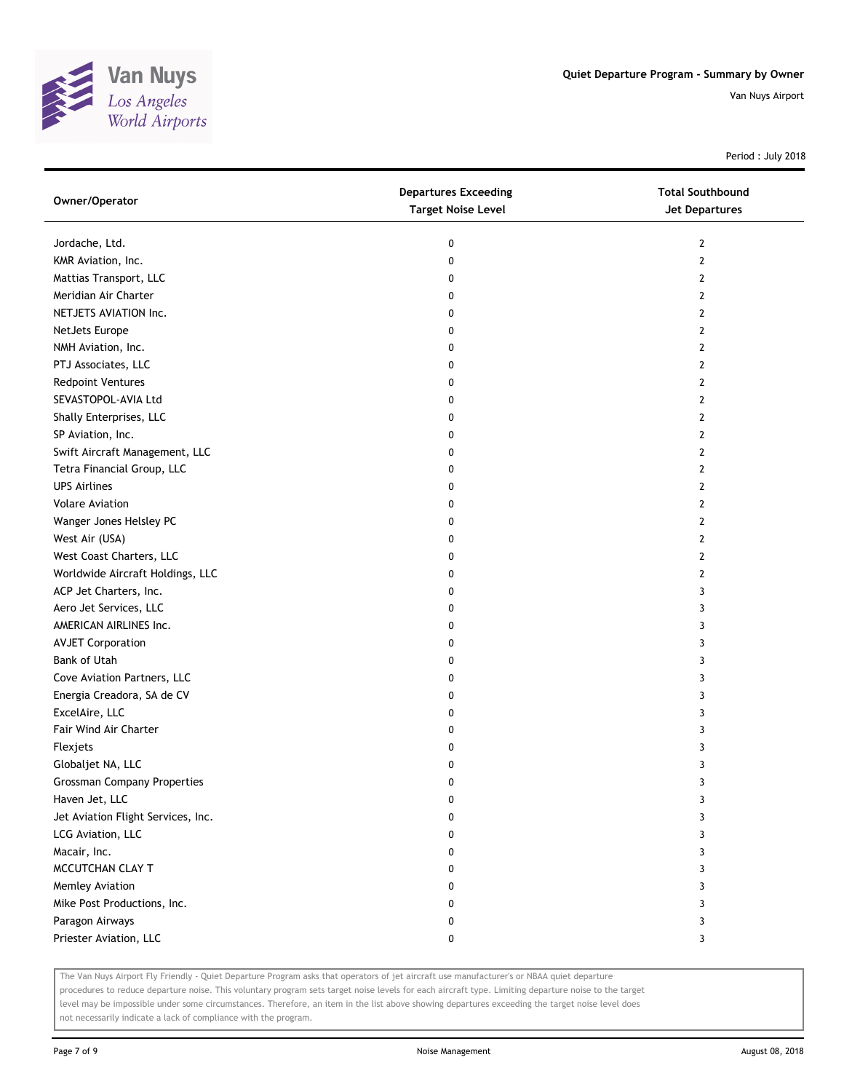

Period : July 2018

| Owner/Operator                     | <b>Departures Exceeding</b><br><b>Target Noise Level</b> | <b>Total Southbound</b><br><b>Jet Departures</b> |
|------------------------------------|----------------------------------------------------------|--------------------------------------------------|
| Jordache, Ltd.                     | 0                                                        | $\mathbf{2}$                                     |
| KMR Aviation, Inc.                 | 0                                                        | $\mathbf{2}$                                     |
| Mattias Transport, LLC             | 0                                                        | 2                                                |
| Meridian Air Charter               | 0                                                        | 2                                                |
| NETJETS AVIATION Inc.              | 0                                                        | $\mathbf{2}$                                     |
| NetJets Europe                     | 0                                                        | 2                                                |
| NMH Aviation, Inc.                 | 0                                                        | 2                                                |
| PTJ Associates, LLC                | 0                                                        | 2                                                |
| <b>Redpoint Ventures</b>           | 0                                                        | 2                                                |
| SEVASTOPOL-AVIA Ltd                | 0                                                        | $\overline{2}$                                   |
| Shally Enterprises, LLC            | 0                                                        | $\overline{2}$                                   |
| SP Aviation, Inc.                  | 0                                                        | 2                                                |
| Swift Aircraft Management, LLC     | 0                                                        | 2                                                |
| Tetra Financial Group, LLC         | 0                                                        | 2                                                |
| <b>UPS Airlines</b>                | 0                                                        | $\overline{2}$                                   |
| <b>Volare Aviation</b>             | 0                                                        | $\mathbf{2}$                                     |
| Wanger Jones Helsley PC            | 0                                                        | 2                                                |
| West Air (USA)                     | 0                                                        | 2                                                |
| West Coast Charters, LLC           | 0                                                        | 2                                                |
| Worldwide Aircraft Holdings, LLC   | 0                                                        | $\overline{2}$                                   |
| ACP Jet Charters, Inc.             | 0                                                        | 3                                                |
| Aero Jet Services, LLC             | 0                                                        | 3                                                |
| AMERICAN AIRLINES Inc.             | 0                                                        | 3                                                |
| <b>AVJET Corporation</b>           | 0                                                        | 3                                                |
| Bank of Utah                       | 0                                                        | 3                                                |
| Cove Aviation Partners, LLC        | 0                                                        | 3                                                |
| Energia Creadora, SA de CV         | 0                                                        | 3                                                |
| ExcelAire, LLC                     | 0                                                        | 3                                                |
| Fair Wind Air Charter              | 0                                                        | 3                                                |
| Flexjets                           | 0                                                        | 3                                                |
| Globaljet NA, LLC                  | 0                                                        | 3                                                |
| <b>Grossman Company Properties</b> | 0                                                        | 3                                                |
| Haven Jet, LLC                     | 0                                                        | 3                                                |
| Jet Aviation Flight Services, Inc. | 0                                                        | 3                                                |
| LCG Aviation, LLC                  | 0                                                        | 3                                                |
| Macair, Inc.                       | 0                                                        | 3                                                |
| MCCUTCHAN CLAY T                   | 0                                                        | 3                                                |
| Memley Aviation                    | 0                                                        | 3                                                |
| Mike Post Productions, Inc.        | 0                                                        | 3                                                |
| Paragon Airways                    | 0                                                        | 3                                                |
| Priester Aviation, LLC             | 0                                                        | 3                                                |

The Van Nuys Airport Fly Friendly - Quiet Departure Program asks that operators of jet aircraft use manufacturer's or NBAA quiet departure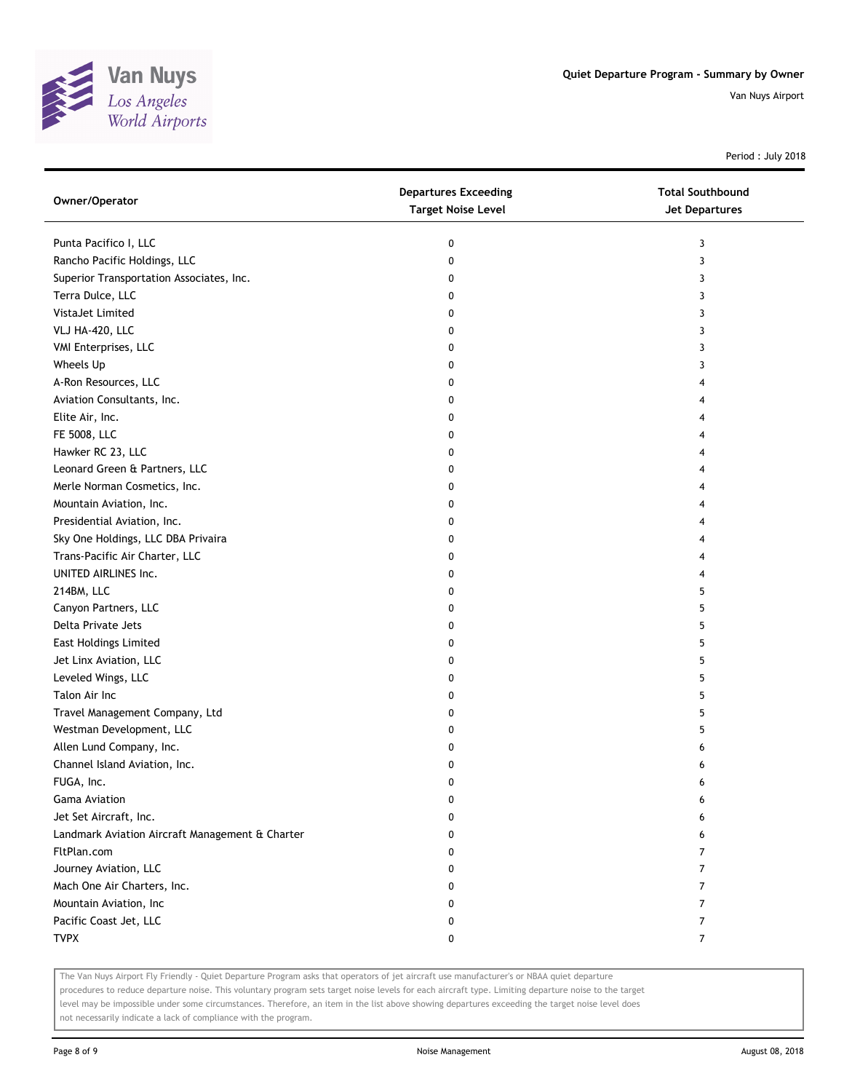

Period : July 2018

| Owner/Operator                                  | <b>Departures Exceeding</b><br><b>Target Noise Level</b> | <b>Total Southbound</b><br><b>Jet Departures</b> |
|-------------------------------------------------|----------------------------------------------------------|--------------------------------------------------|
| Punta Pacifico I, LLC                           | 0                                                        | 3                                                |
| Rancho Pacific Holdings, LLC                    | 0                                                        | 3                                                |
| Superior Transportation Associates, Inc.        | 0                                                        | 3                                                |
| Terra Dulce, LLC                                | 0                                                        | 3                                                |
| VistaJet Limited                                | 0                                                        | 3                                                |
| VLJ HA-420, LLC                                 | 0                                                        | 3                                                |
| VMI Enterprises, LLC                            | 0                                                        | 3                                                |
| Wheels Up                                       | 0                                                        | 3                                                |
| A-Ron Resources, LLC                            | 0                                                        | 4                                                |
| Aviation Consultants, Inc.                      | 0                                                        | 4                                                |
| Elite Air, Inc.                                 | 0                                                        | 4                                                |
| FE 5008, LLC                                    | 0                                                        | 4                                                |
| Hawker RC 23, LLC                               | 0                                                        | 4                                                |
| Leonard Green & Partners, LLC                   | 0                                                        | 4                                                |
| Merle Norman Cosmetics, Inc.                    | 0                                                        | 4                                                |
| Mountain Aviation, Inc.                         | 0                                                        | 4                                                |
| Presidential Aviation, Inc.                     | 0                                                        | 4                                                |
| Sky One Holdings, LLC DBA Privaira              | 0                                                        | 4                                                |
| Trans-Pacific Air Charter, LLC                  | 0                                                        | 4                                                |
| UNITED AIRLINES Inc.                            | 0                                                        | 4                                                |
| 214BM, LLC                                      | 0                                                        | 5                                                |
| Canyon Partners, LLC                            | 0                                                        | 5                                                |
| Delta Private Jets                              | 0                                                        | 5                                                |
| East Holdings Limited                           | 0                                                        | 5                                                |
| Jet Linx Aviation, LLC                          | 0                                                        | 5                                                |
| Leveled Wings, LLC                              | 0                                                        | 5                                                |
| Talon Air Inc                                   | 0                                                        | 5                                                |
| Travel Management Company, Ltd                  | 0                                                        | 5                                                |
| Westman Development, LLC                        | 0                                                        | 5                                                |
| Allen Lund Company, Inc.                        | 0                                                        | 6                                                |
| Channel Island Aviation, Inc.                   | 0                                                        | 6                                                |
| FUGA, Inc.                                      | 0                                                        | 6                                                |
| <b>Gama Aviation</b>                            | 0                                                        | 6                                                |
| Jet Set Aircraft, Inc.                          | 0                                                        | 6                                                |
| Landmark Aviation Aircraft Management & Charter | 0                                                        | 6                                                |
| FltPlan.com                                     | 0                                                        | 7                                                |
| Journey Aviation, LLC                           | 0                                                        | 7                                                |
| Mach One Air Charters, Inc.                     | 0                                                        | 7                                                |
| Mountain Aviation, Inc                          | 0                                                        | 7                                                |
| Pacific Coast Jet, LLC                          | 0                                                        | 7                                                |
| <b>TVPX</b>                                     | 0                                                        | 7                                                |

The Van Nuys Airport Fly Friendly - Quiet Departure Program asks that operators of jet aircraft use manufacturer's or NBAA quiet departure